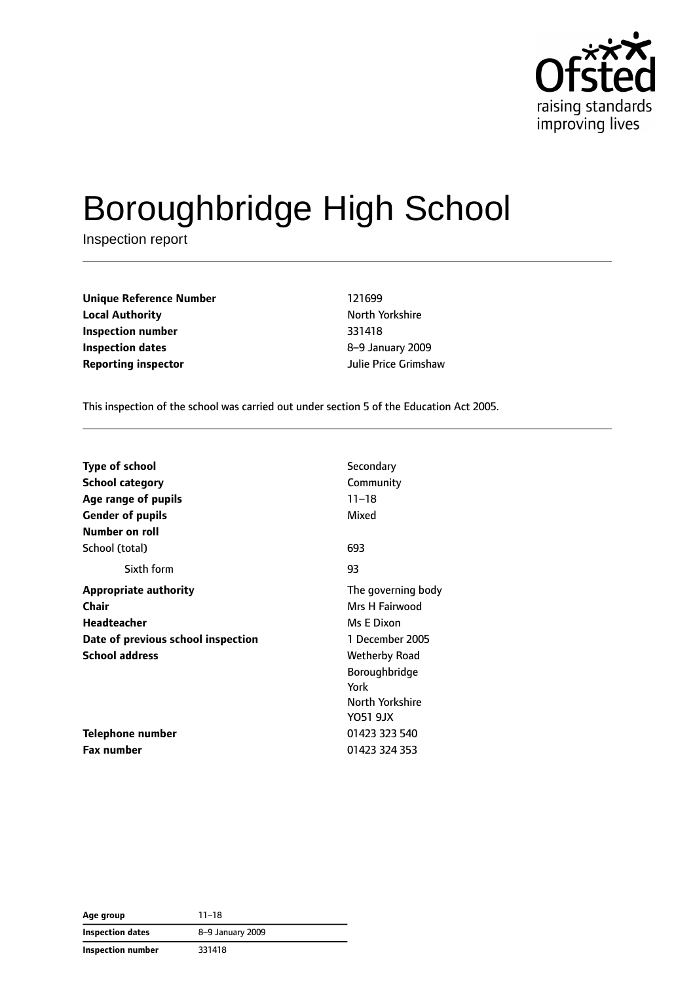

# Boroughbridge High School

Inspection report

**Unique Reference Number** 121699 **Local Authority North Yorkshire Inspection number** 331418 **Inspection dates** 8–9 January 2009 **Reporting inspector** Julie Price Grimshaw

This inspection of the school was carried out under section 5 of the Education Act 2005.

| <b>Type of school</b>              | Secondary            |
|------------------------------------|----------------------|
| <b>School category</b>             | Community            |
| Age range of pupils                | $11 - 18$            |
| <b>Gender of pupils</b>            | Mixed                |
| Number on roll                     |                      |
| School (total)                     | 693                  |
| Sixth form                         | 93                   |
| <b>Appropriate authority</b>       | The governing body   |
| <b>Chair</b>                       | Mrs H Fairwood       |
| <b>Headteacher</b>                 | Ms E Dixon           |
| Date of previous school inspection | 1 December 2005      |
| <b>School address</b>              | <b>Wetherby Road</b> |
|                                    | Boroughbridge        |
|                                    | York                 |
|                                    | North Yorkshire      |
|                                    | Y051 9JX             |
| <b>Telephone number</b>            | 01423 323 540        |
| <b>Fax number</b>                  | 01423 324 353        |

**Age group** 11–18 **Inspection dates** 8–9 January 2009 **Inspection number** 331418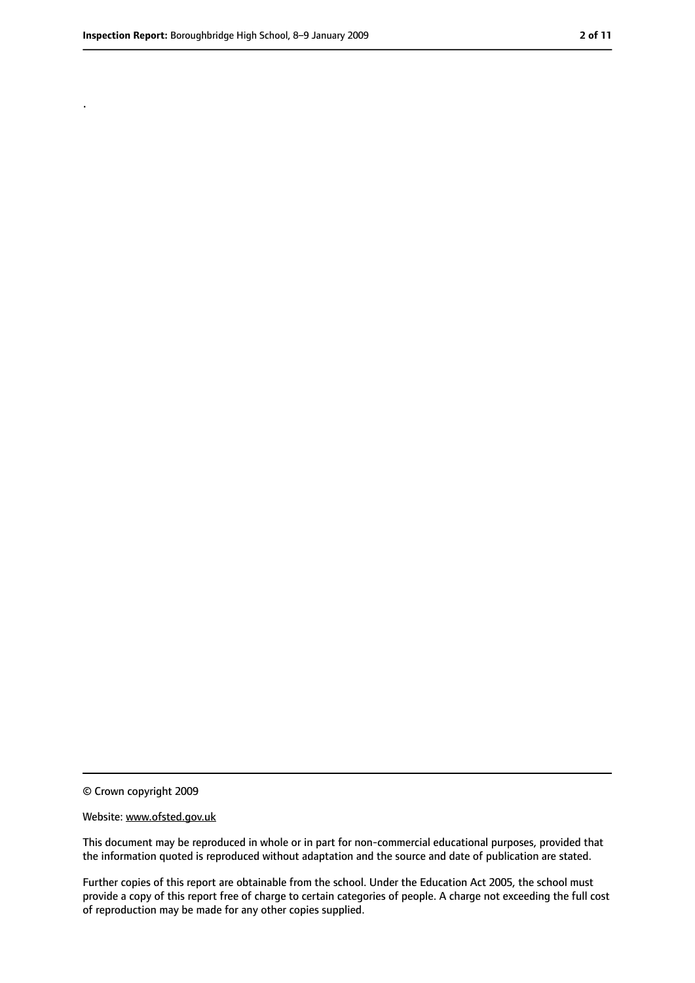.

<sup>©</sup> Crown copyright 2009

Website: www.ofsted.gov.uk

This document may be reproduced in whole or in part for non-commercial educational purposes, provided that the information quoted is reproduced without adaptation and the source and date of publication are stated.

Further copies of this report are obtainable from the school. Under the Education Act 2005, the school must provide a copy of this report free of charge to certain categories of people. A charge not exceeding the full cost of reproduction may be made for any other copies supplied.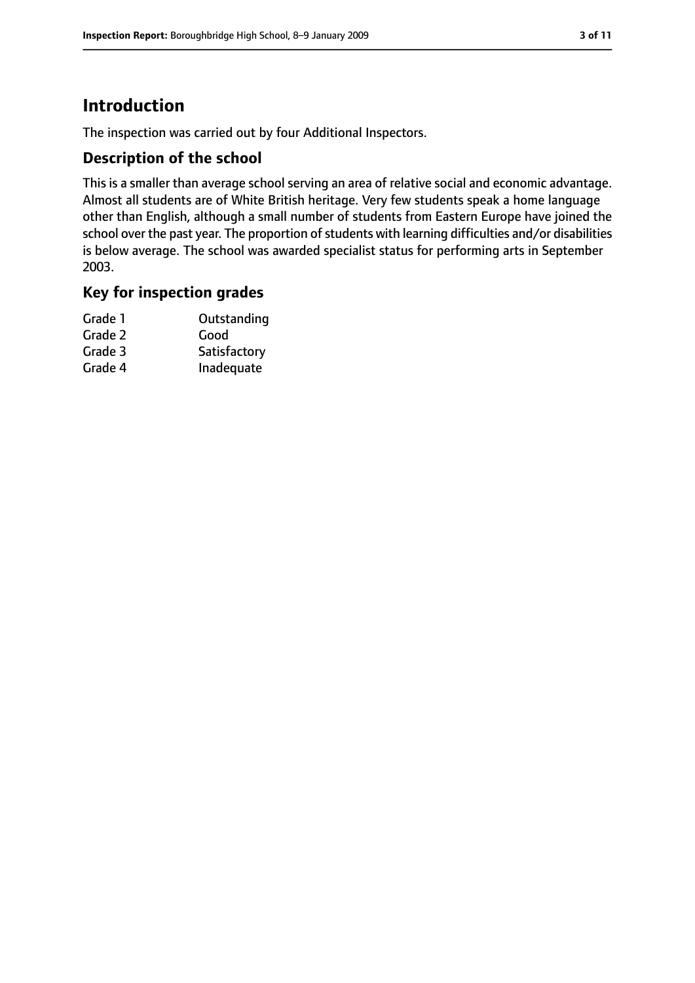### **Introduction**

The inspection was carried out by four Additional Inspectors.

#### **Description of the school**

This is a smaller than average school serving an area of relative social and economic advantage. Almost all students are of White British heritage. Very few students speak a home language other than English, although a small number of students from Eastern Europe have joined the school over the past year. The proportion of students with learning difficulties and/or disabilities is below average. The school was awarded specialist status for performing arts in September 2003.

#### **Key for inspection grades**

| Grade 1 | Outstanding  |
|---------|--------------|
| Grade 2 | Good         |
| Grade 3 | Satisfactory |
| Grade 4 | Inadequate   |
|         |              |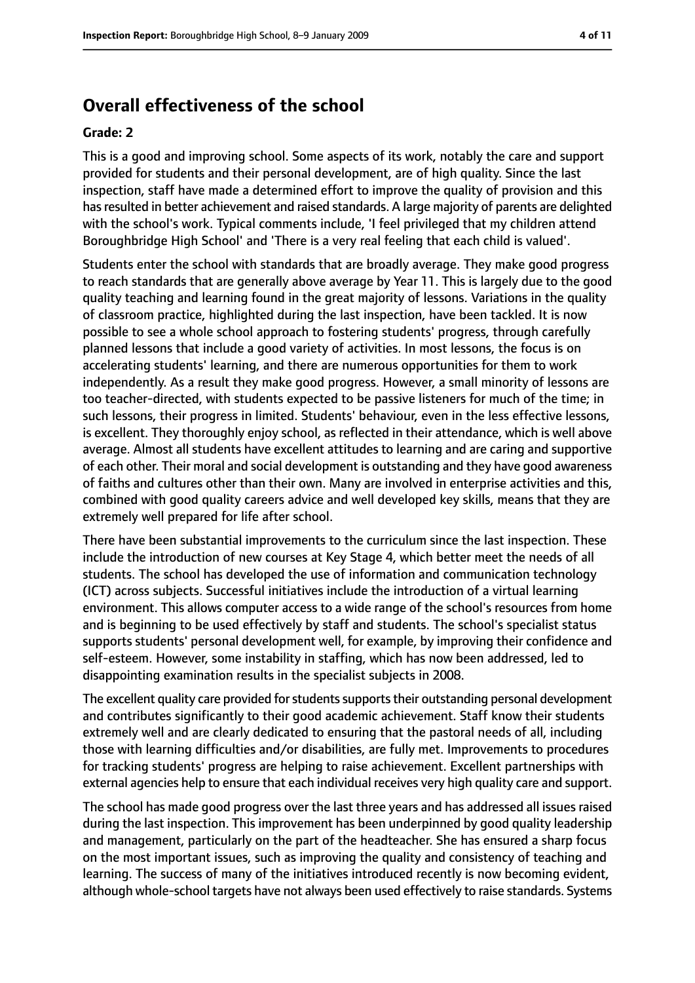### **Overall effectiveness of the school**

#### **Grade: 2**

This is a good and improving school. Some aspects of its work, notably the care and support provided for students and their personal development, are of high quality. Since the last inspection, staff have made a determined effort to improve the quality of provision and this has resulted in better achievement and raised standards. A large majority of parents are delighted with the school's work. Typical comments include, 'I feel privileged that my children attend Boroughbridge High School' and 'There is a very real feeling that each child is valued'.

Students enter the school with standards that are broadly average. They make good progress to reach standards that are generally above average by Year 11. This is largely due to the good quality teaching and learning found in the great majority of lessons. Variations in the quality of classroom practice, highlighted during the last inspection, have been tackled. It is now possible to see a whole school approach to fostering students' progress, through carefully planned lessons that include a good variety of activities. In most lessons, the focus is on accelerating students' learning, and there are numerous opportunities for them to work independently. As a result they make good progress. However, a small minority of lessons are too teacher-directed, with students expected to be passive listeners for much of the time; in such lessons, their progress in limited. Students' behaviour, even in the less effective lessons, is excellent. They thoroughly enjoy school, as reflected in their attendance, which is well above average. Almost all students have excellent attitudes to learning and are caring and supportive of each other. Their moral and social development is outstanding and they have good awareness of faiths and cultures other than their own. Many are involved in enterprise activities and this, combined with good quality careers advice and well developed key skills, means that they are extremely well prepared for life after school.

There have been substantial improvements to the curriculum since the last inspection. These include the introduction of new courses at Key Stage 4, which better meet the needs of all students. The school has developed the use of information and communication technology (ICT) across subjects. Successful initiatives include the introduction of a virtual learning environment. This allows computer access to a wide range of the school's resources from home and is beginning to be used effectively by staff and students. The school's specialist status supports students' personal development well, for example, by improving their confidence and self-esteem. However, some instability in staffing, which has now been addressed, led to disappointing examination results in the specialist subjects in 2008.

The excellent quality care provided for students supports their outstanding personal development and contributes significantly to their good academic achievement. Staff know their students extremely well and are clearly dedicated to ensuring that the pastoral needs of all, including those with learning difficulties and/or disabilities, are fully met. Improvements to procedures for tracking students' progress are helping to raise achievement. Excellent partnerships with external agencies help to ensure that each individual receives very high quality care and support.

The school has made good progress over the last three years and has addressed all issues raised during the last inspection. This improvement has been underpinned by good quality leadership and management, particularly on the part of the headteacher. She has ensured a sharp focus on the most important issues, such as improving the quality and consistency of teaching and learning. The success of many of the initiatives introduced recently is now becoming evident, although whole-school targets have not always been used effectively to raise standards. Systems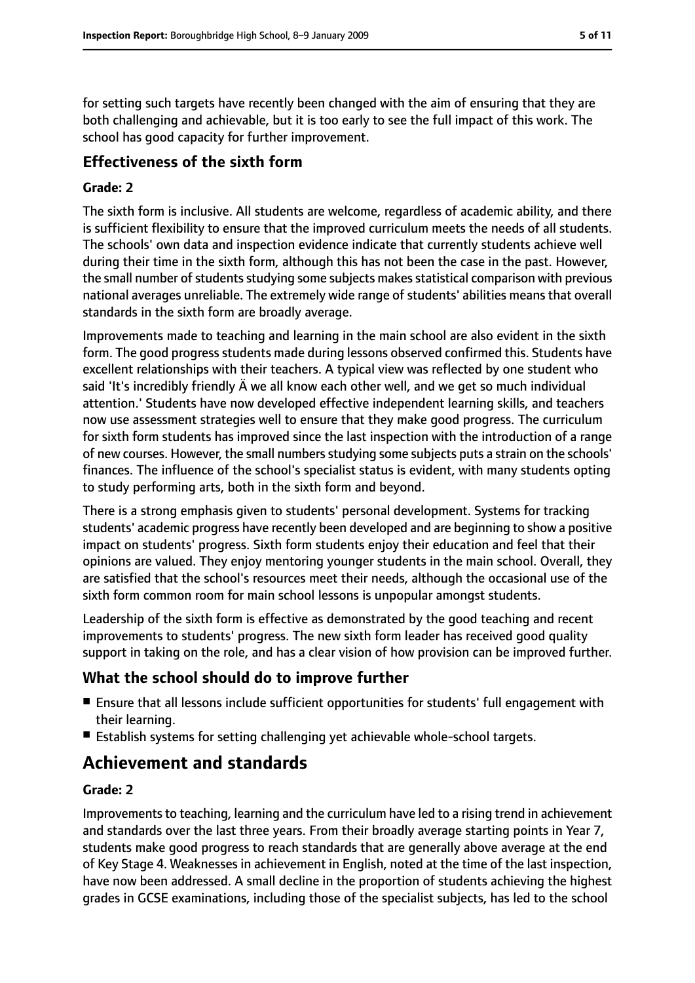for setting such targets have recently been changed with the aim of ensuring that they are both challenging and achievable, but it is too early to see the full impact of this work. The school has good capacity for further improvement.

### **Effectiveness of the sixth form**

#### **Grade: 2**

The sixth form is inclusive. All students are welcome, regardless of academic ability, and there is sufficient flexibility to ensure that the improved curriculum meets the needs of all students. The schools' own data and inspection evidence indicate that currently students achieve well during their time in the sixth form, although this has not been the case in the past. However, the small number of students studying some subjects makes statistical comparison with previous national averages unreliable. The extremely wide range of students' abilities means that overall standards in the sixth form are broadly average.

Improvements made to teaching and learning in the main school are also evident in the sixth form. The good progress students made during lessons observed confirmed this. Students have excellent relationships with their teachers. A typical view was reflected by one student who said 'It's incredibly friendly Ä we all know each other well, and we get so much individual attention.' Students have now developed effective independent learning skills, and teachers now use assessment strategies well to ensure that they make good progress. The curriculum for sixth form students has improved since the last inspection with the introduction of a range of new courses. However, the small numbers studying some subjects puts a strain on the schools' finances. The influence of the school's specialist status is evident, with many students opting to study performing arts, both in the sixth form and beyond.

There is a strong emphasis given to students' personal development. Systems for tracking students' academic progress have recently been developed and are beginning to show a positive impact on students' progress. Sixth form students enjoy their education and feel that their opinions are valued. They enjoy mentoring younger students in the main school. Overall, they are satisfied that the school's resources meet their needs, although the occasional use of the sixth form common room for main school lessons is unpopular amongst students.

Leadership of the sixth form is effective as demonstrated by the good teaching and recent improvements to students' progress. The new sixth form leader has received good quality support in taking on the role, and has a clear vision of how provision can be improved further.

#### **What the school should do to improve further**

- Ensure that all lessons include sufficient opportunities for students' full engagement with their learning.
- Establish systems for setting challenging yet achievable whole-school targets.

### **Achievement and standards**

#### **Grade: 2**

Improvements to teaching, learning and the curriculum have led to a rising trend in achievement and standards over the last three years. From their broadly average starting points in Year 7, students make good progress to reach standards that are generally above average at the end of Key Stage 4. Weaknesses in achievement in English, noted at the time of the last inspection, have now been addressed. A small decline in the proportion of students achieving the highest grades in GCSE examinations, including those of the specialist subjects, has led to the school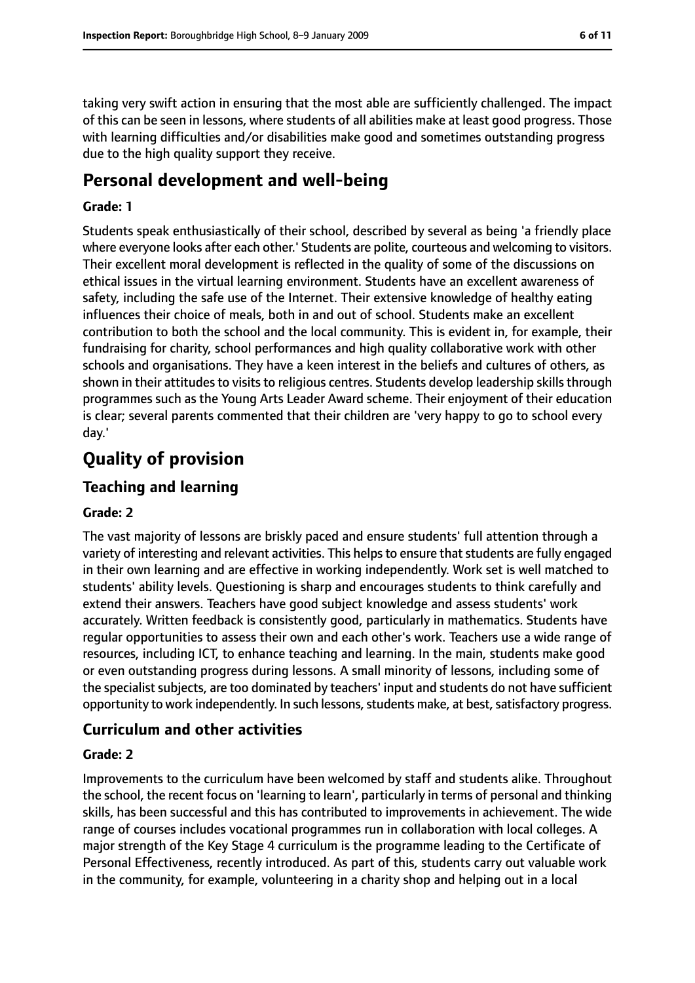taking very swift action in ensuring that the most able are sufficiently challenged. The impact of this can be seen in lessons, where students of all abilities make at least good progress. Those with learning difficulties and/or disabilities make good and sometimes outstanding progress due to the high quality support they receive.

### **Personal development and well-being**

#### **Grade: 1**

Students speak enthusiastically of their school, described by several as being 'a friendly place where everyone looks after each other.' Students are polite, courteous and welcoming to visitors. Their excellent moral development is reflected in the quality of some of the discussions on ethical issues in the virtual learning environment. Students have an excellent awareness of safety, including the safe use of the Internet. Their extensive knowledge of healthy eating influences their choice of meals, both in and out of school. Students make an excellent contribution to both the school and the local community. This is evident in, for example, their fundraising for charity, school performances and high quality collaborative work with other schools and organisations. They have a keen interest in the beliefs and cultures of others, as shown in their attitudes to visits to religious centres. Students develop leadership skills through programmes such as the Young Arts Leader Award scheme. Their enjoyment of their education is clear; several parents commented that their children are 'very happy to go to school every day.'

### **Quality of provision**

#### **Teaching and learning**

#### **Grade: 2**

The vast majority of lessons are briskly paced and ensure students' full attention through a variety of interesting and relevant activities. This helps to ensure that students are fully engaged in their own learning and are effective in working independently. Work set is well matched to students' ability levels. Questioning is sharp and encourages students to think carefully and extend their answers. Teachers have good subject knowledge and assess students' work accurately. Written feedback is consistently good, particularly in mathematics. Students have regular opportunities to assess their own and each other's work. Teachers use a wide range of resources, including ICT, to enhance teaching and learning. In the main, students make good or even outstanding progress during lessons. A small minority of lessons, including some of the specialist subjects, are too dominated by teachers' input and students do not have sufficient opportunity to work independently. In such lessons, students make, at best, satisfactory progress.

#### **Curriculum and other activities**

#### **Grade: 2**

Improvements to the curriculum have been welcomed by staff and students alike. Throughout the school, the recent focus on 'learning to learn', particularly in terms of personal and thinking skills, has been successful and this has contributed to improvements in achievement. The wide range of courses includes vocational programmes run in collaboration with local colleges. A major strength of the Key Stage 4 curriculum is the programme leading to the Certificate of Personal Effectiveness, recently introduced. As part of this, students carry out valuable work in the community, for example, volunteering in a charity shop and helping out in a local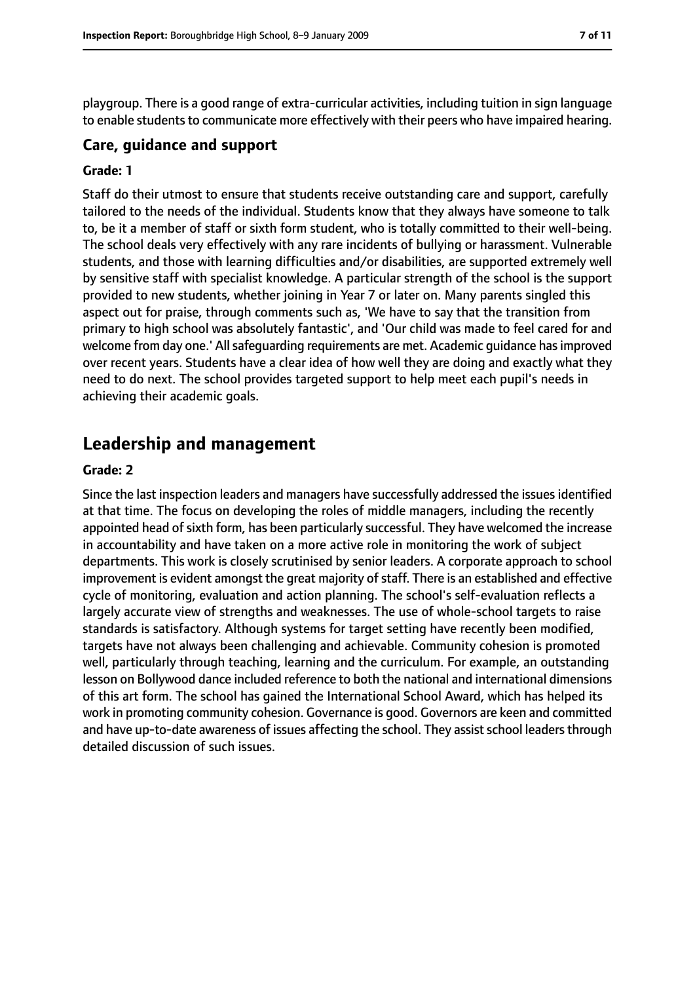playgroup. There is a good range of extra-curricular activities, including tuition in sign language to enable students to communicate more effectively with their peers who have impaired hearing.

#### **Care, guidance and support**

#### **Grade: 1**

Staff do their utmost to ensure that students receive outstanding care and support, carefully tailored to the needs of the individual. Students know that they always have someone to talk to, be it a member of staff or sixth form student, who is totally committed to their well-being. The school deals very effectively with any rare incidents of bullying or harassment. Vulnerable students, and those with learning difficulties and/or disabilities, are supported extremely well by sensitive staff with specialist knowledge. A particular strength of the school is the support provided to new students, whether joining in Year 7 or later on. Many parents singled this aspect out for praise, through comments such as, 'We have to say that the transition from primary to high school was absolutely fantastic', and 'Our child was made to feel cared for and welcome from day one.' All safeguarding requirements are met. Academic guidance has improved over recent years. Students have a clear idea of how well they are doing and exactly what they need to do next. The school provides targeted support to help meet each pupil's needs in achieving their academic goals.

### **Leadership and management**

#### **Grade: 2**

Since the last inspection leaders and managers have successfully addressed the issues identified at that time. The focus on developing the roles of middle managers, including the recently appointed head of sixth form, has been particularly successful. They have welcomed the increase in accountability and have taken on a more active role in monitoring the work of subject departments. This work is closely scrutinised by senior leaders. A corporate approach to school improvement is evident amongst the great majority of staff. There is an established and effective cycle of monitoring, evaluation and action planning. The school's self-evaluation reflects a largely accurate view of strengths and weaknesses. The use of whole-school targets to raise standards is satisfactory. Although systems for target setting have recently been modified, targets have not always been challenging and achievable. Community cohesion is promoted well, particularly through teaching, learning and the curriculum. For example, an outstanding lesson on Bollywood dance included reference to both the national and international dimensions of this art form. The school has gained the International School Award, which has helped its work in promoting community cohesion. Governance is good. Governors are keen and committed and have up-to-date awareness of issues affecting the school. They assist school leaders through detailed discussion of such issues.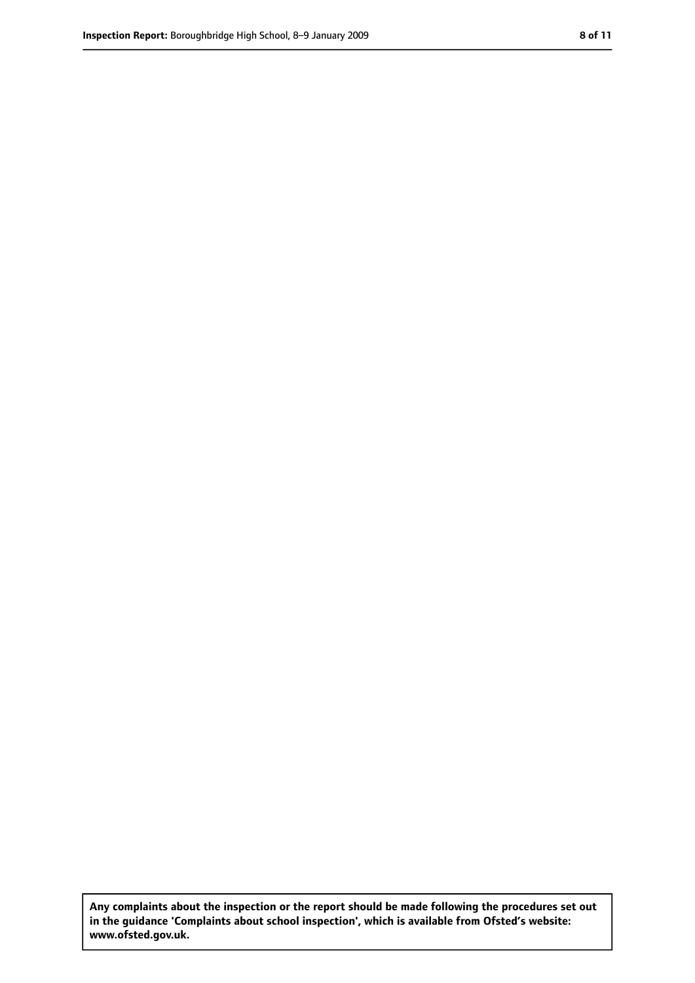**Any complaints about the inspection or the report should be made following the procedures set out in the guidance 'Complaints about school inspection', which is available from Ofsted's website: www.ofsted.gov.uk.**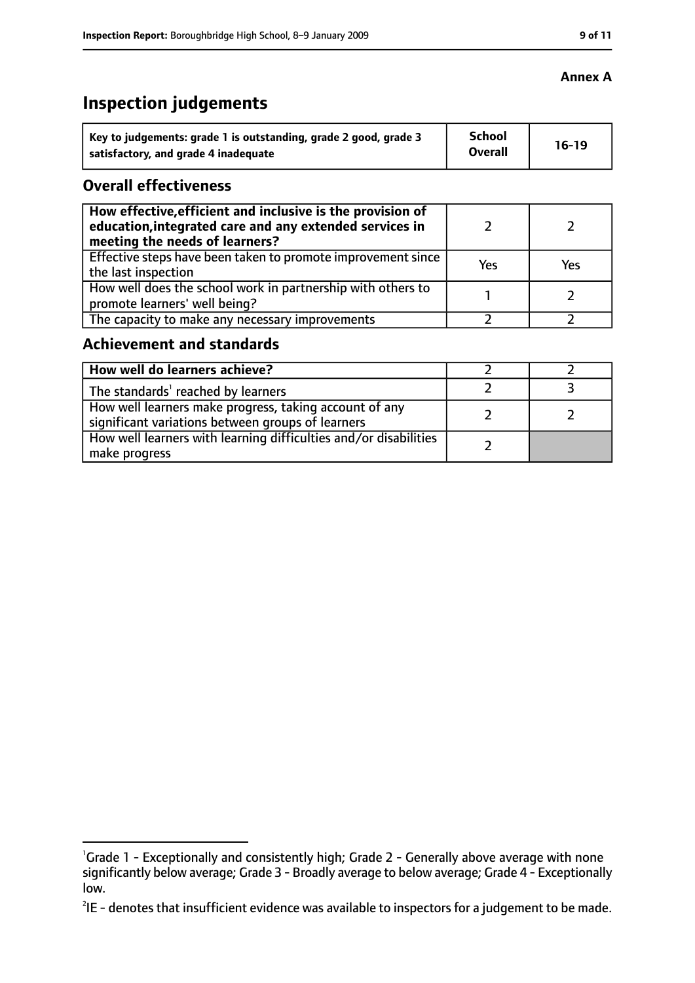### **Inspection judgements**

| Key to judgements: grade 1 is outstanding, grade 2 good, grade 3 | <b>School</b><br><b>Overall</b> | $16-19$ |
|------------------------------------------------------------------|---------------------------------|---------|
| satisfactory, and grade 4 inadequate                             |                                 |         |

#### **Overall effectiveness**

| How effective, efficient and inclusive is the provision of<br>education, integrated care and any extended services in<br>meeting the needs of learners? |     |     |
|---------------------------------------------------------------------------------------------------------------------------------------------------------|-----|-----|
| Effective steps have been taken to promote improvement since<br>the last inspection                                                                     | Yes | Yes |
| How well does the school work in partnership with others to<br>promote learners' well being?                                                            |     |     |
| The capacity to make any necessary improvements                                                                                                         |     |     |

#### **Achievement and standards**

| How well do learners achieve?                                                                               |  |
|-------------------------------------------------------------------------------------------------------------|--|
| The standards <sup>1</sup> reached by learners                                                              |  |
| How well learners make progress, taking account of any<br>significant variations between groups of learners |  |
| How well learners with learning difficulties and/or disabilities<br>make progress                           |  |

#### **Annex A**

<sup>&</sup>lt;sup>1</sup>Grade 1 - Exceptionally and consistently high; Grade 2 - Generally above average with none significantly below average; Grade 3 - Broadly average to below average; Grade 4 - Exceptionally low.

 $^{2}$ IE - denotes that insufficient evidence was available to inspectors for a judgement to be made.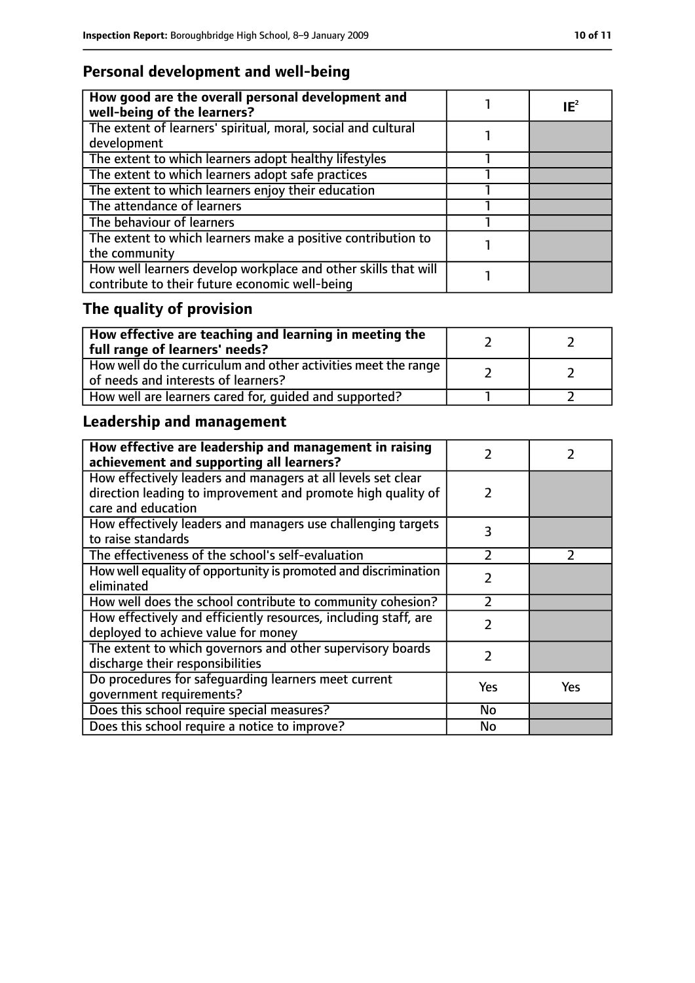### **Personal development and well-being**

| How good are the overall personal development and<br>well-being of the learners?                                 | $IE^2$ |
|------------------------------------------------------------------------------------------------------------------|--------|
| The extent of learners' spiritual, moral, social and cultural<br>development                                     |        |
| The extent to which learners adopt healthy lifestyles                                                            |        |
| The extent to which learners adopt safe practices                                                                |        |
| The extent to which learners enjoy their education                                                               |        |
| The attendance of learners                                                                                       |        |
| The behaviour of learners                                                                                        |        |
| The extent to which learners make a positive contribution to<br>the community                                    |        |
| How well learners develop workplace and other skills that will<br>contribute to their future economic well-being |        |

## **The quality of provision**

| How effective are teaching and learning in meeting the<br>full range of learners' needs?                |  |
|---------------------------------------------------------------------------------------------------------|--|
| How well do the curriculum and other activities meet the range  <br>of needs and interests of learners? |  |
| How well are learners cared for, quided and supported?                                                  |  |

### **Leadership and management**

| How effective are leadership and management in raising<br>achievement and supporting all learners?     | フ              |               |
|--------------------------------------------------------------------------------------------------------|----------------|---------------|
| How effectively leaders and managers at all levels set clear                                           |                |               |
| direction leading to improvement and promote high quality of<br>care and education                     | $\mathcal{L}$  |               |
| How effectively leaders and managers use challenging targets<br>to raise standards                     | 3              |               |
| The effectiveness of the school's self-evaluation                                                      | $\overline{2}$ | $\mathcal{P}$ |
| How well equality of opportunity is promoted and discrimination<br>eliminated                          | $\mathcal{P}$  |               |
| How well does the school contribute to community cohesion?                                             | っ              |               |
| How effectively and efficiently resources, including staff, are<br>deployed to achieve value for money | $\mathcal{P}$  |               |
| The extent to which governors and other supervisory boards<br>discharge their responsibilities         | 2              |               |
| Do procedures for safequarding learners meet current                                                   | Yes            | Yes           |
| qovernment requirements?                                                                               |                |               |
| Does this school require special measures?                                                             | <b>No</b>      |               |
| Does this school require a notice to improve?                                                          | No             |               |